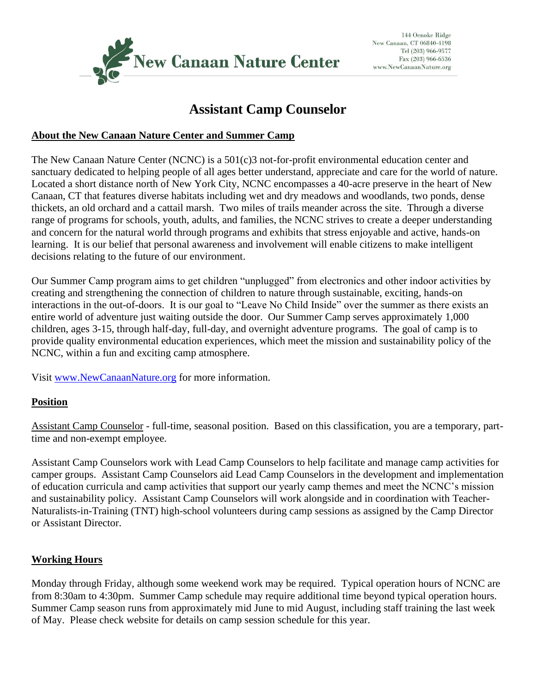

# **Assistant Camp Counselor**

#### **About the New Canaan Nature Center and Summer Camp**

The New Canaan Nature Center (NCNC) is a 501(c)3 not-for-profit environmental education center and sanctuary dedicated to helping people of all ages better understand, appreciate and care for the world of nature. Located a short distance north of New York City, NCNC encompasses a 40-acre preserve in the heart of New Canaan, CT that features diverse habitats including wet and dry meadows and woodlands, two ponds, dense thickets, an old orchard and a cattail marsh. Two miles of trails meander across the site. Through a diverse range of programs for schools, youth, adults, and families, the NCNC strives to create a deeper understanding and concern for the natural world through programs and exhibits that stress enjoyable and active, hands-on learning. It is our belief that personal awareness and involvement will enable citizens to make intelligent decisions relating to the future of our environment.

Our Summer Camp program aims to get children "unplugged" from electronics and other indoor activities by creating and strengthening the connection of children to nature through sustainable, exciting, hands-on interactions in the out-of-doors. It is our goal to "Leave No Child Inside" over the summer as there exists an entire world of adventure just waiting outside the door. Our Summer Camp serves approximately 1,000 children, ages 3-15, through half-day, full-day, and overnight adventure programs. The goal of camp is to provide quality environmental education experiences, which meet the mission and sustainability policy of the NCNC, within a fun and exciting camp atmosphere.

Visit [www.NewCanaanNature.org](http://www.newcanaannature.org/) for more information.

# **Position**

Assistant Camp Counselor - full-time, seasonal position. Based on this classification, you are a temporary, parttime and non-exempt employee.

Assistant Camp Counselors work with Lead Camp Counselors to help facilitate and manage camp activities for camper groups. Assistant Camp Counselors aid Lead Camp Counselors in the development and implementation of education curricula and camp activities that support our yearly camp themes and meet the NCNC's mission and sustainability policy. Assistant Camp Counselors will work alongside and in coordination with Teacher-Naturalists-in-Training (TNT) high-school volunteers during camp sessions as assigned by the Camp Director or Assistant Director.

# **Working Hours**

Monday through Friday, although some weekend work may be required. Typical operation hours of NCNC are from 8:30am to 4:30pm. Summer Camp schedule may require additional time beyond typical operation hours. Summer Camp season runs from approximately mid June to mid August, including staff training the last week of May. Please check website for details on camp session schedule for this year.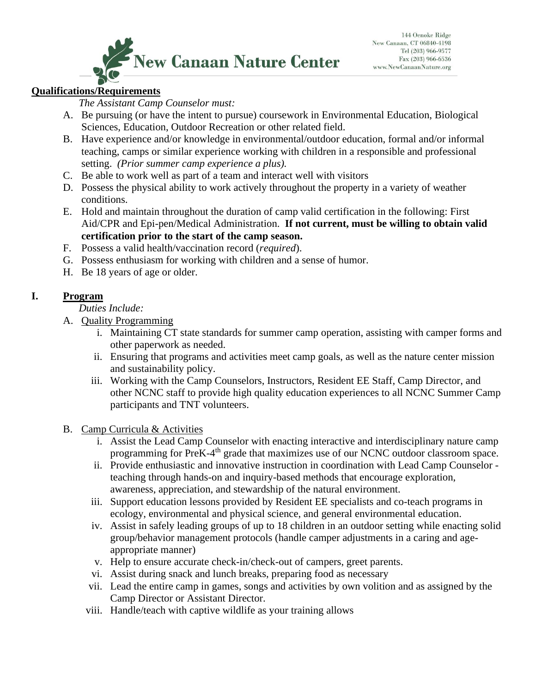

# **Qualifications/Requirements**

*The Assistant Camp Counselor must:*

- A. Be pursuing (or have the intent to pursue) coursework in Environmental Education, Biological Sciences, Education, Outdoor Recreation or other related field.
- B. Have experience and/or knowledge in environmental/outdoor education, formal and/or informal teaching, camps or similar experience working with children in a responsible and professional setting. *(Prior summer camp experience a plus).*
- C. Be able to work well as part of a team and interact well with visitors
- D. Possess the physical ability to work actively throughout the property in a variety of weather conditions.
- E. Hold and maintain throughout the duration of camp valid certification in the following: First Aid/CPR and Epi-pen/Medical Administration. **If not current, must be willing to obtain valid certification prior to the start of the camp season.**
- F. Possess a valid health/vaccination record (*required*).
- G. Possess enthusiasm for working with children and a sense of humor.
- H. Be 18 years of age or older.

# **I. Program**

#### *Duties Include:*

- A. Quality Programming
	- i. Maintaining CT state standards for summer camp operation, assisting with camper forms and other paperwork as needed.
	- ii. Ensuring that programs and activities meet camp goals, as well as the nature center mission and sustainability policy.
	- iii. Working with the Camp Counselors, Instructors, Resident EE Staff, Camp Director, and other NCNC staff to provide high quality education experiences to all NCNC Summer Camp participants and TNT volunteers.
- B. Camp Curricula & Activities
	- i. Assist the Lead Camp Counselor with enacting interactive and interdisciplinary nature camp programming for PreK-4<sup>th</sup> grade that maximizes use of our NCNC outdoor classroom space.
	- ii. Provide enthusiastic and innovative instruction in coordination with Lead Camp Counselor teaching through hands-on and inquiry-based methods that encourage exploration, awareness, appreciation, and stewardship of the natural environment.
	- iii. Support education lessons provided by Resident EE specialists and co-teach programs in ecology, environmental and physical science, and general environmental education.
	- iv. Assist in safely leading groups of up to 18 children in an outdoor setting while enacting solid group/behavior management protocols (handle camper adjustments in a caring and ageappropriate manner)
	- v. Help to ensure accurate check-in/check-out of campers, greet parents.
	- vi. Assist during snack and lunch breaks, preparing food as necessary
	- vii. Lead the entire camp in games, songs and activities by own volition and as assigned by the Camp Director or Assistant Director.
	- viii. Handle/teach with captive wildlife as your training allows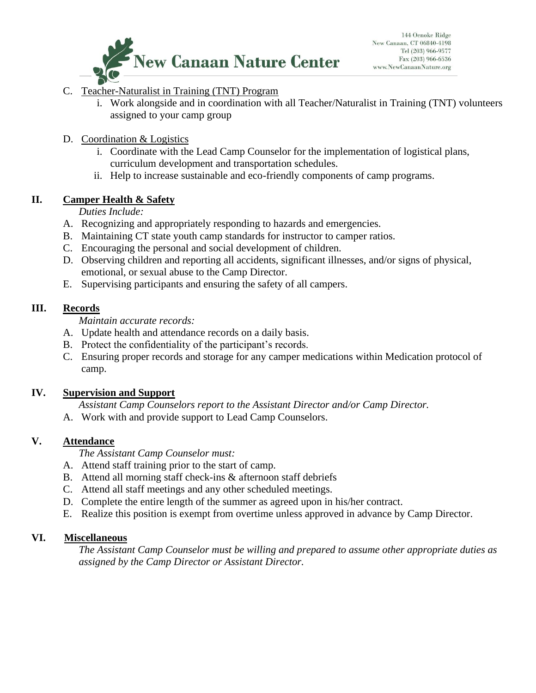

# C. Teacher-Naturalist in Training (TNT) Program

- i. Work alongside and in coordination with all Teacher/Naturalist in Training (TNT) volunteers assigned to your camp group
- D. Coordination & Logistics
	- i. Coordinate with the Lead Camp Counselor for the implementation of logistical plans, curriculum development and transportation schedules.
	- ii. Help to increase sustainable and eco-friendly components of camp programs.

#### **II. Camper Health & Safety**

*Duties Include:*

- A. Recognizing and appropriately responding to hazards and emergencies.
- B. Maintaining CT state youth camp standards for instructor to camper ratios.
- C. Encouraging the personal and social development of children.
- D. Observing children and reporting all accidents, significant illnesses, and/or signs of physical, emotional, or sexual abuse to the Camp Director.
- E. Supervising participants and ensuring the safety of all campers.

# **III. Records**

*Maintain accurate records:*

- A. Update health and attendance records on a daily basis.
- B. Protect the confidentiality of the participant's records.
- C. Ensuring proper records and storage for any camper medications within Medication protocol of camp.

#### **IV. Supervision and Support**

*Assistant Camp Counselors report to the Assistant Director and/or Camp Director.*

A. Work with and provide support to Lead Camp Counselors.

# **V. Attendance**

*The Assistant Camp Counselor must:*

- A. Attend staff training prior to the start of camp.
- B. Attend all morning staff check-ins & afternoon staff debriefs
- C. Attend all staff meetings and any other scheduled meetings.
- D. Complete the entire length of the summer as agreed upon in his/her contract.
- E. Realize this position is exempt from overtime unless approved in advance by Camp Director.

#### **VI. Miscellaneous**

*The Assistant Camp Counselor must be willing and prepared to assume other appropriate duties as assigned by the Camp Director or Assistant Director.*